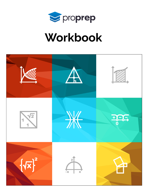

# Workbook

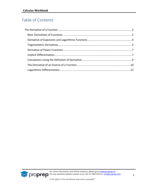# Table of Contents

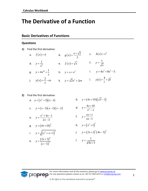# <span id="page-2-0"></span>**The Derivative of a Function**

### <span id="page-2-1"></span>**Basic Derivatives of Functions**

#### **Questions**

**1)** Find the first derivative:

a. 
$$
f(x)=4
$$
  
\nb.  $g(x) = \frac{e + \sqrt{2}}{2}$   
\nc.  $h(x) = x^4$   
\nd.  $y = \frac{1}{x^2}$   
\ne.  $f(x) = \sqrt{x}$   
\nf.  $y = \frac{1}{\sqrt{x}}$   
\ng.  $y = 4x^{10} + \frac{1}{x}$   
\nh.  $y = x + x^2$   
\ni.  $y = 4x^2 + 8x^3 - 5$   
\nj.  $y(x) = \frac{2}{x} - ex$   
\nk.  $y = \sqrt{2}x^2 + 2ex$   
\nl.  $y(t) = \frac{4}{t} + \sqrt[3]{t}$ 

2) Find the first derivative:  
\na. 
$$
y = (x^2 + 3)(x - 1)
$$
  
\nb.  $y = (4x + 10)(\sqrt{x} - 1)$   
\nc.  $y = (x - 1)(x - 1)(x - 2)$   
\nd.  $y = \frac{4x + 10}{x^2 - x}$   
\ne.  $y = \frac{x^2 + 4x - 1}{2x - 3}$   
\nf.  $y = \frac{ex + 1}{ex - 1}$   
\ng.  $y = (4x + 10)^3$   
\nh.  $y = (x^2 + 1)^5$   
\ni.  $y = \sqrt{(x^2 + x + 1)^3}$   
\nj.  $y = (2x + 1)^3 (4x - 5)^4$   
\nk.  $y = \frac{(2x + 3)^4}{(x - 5)^3}$   
\nl.  $y = \frac{1}{\sqrt[3]{4x + 1}}$ 

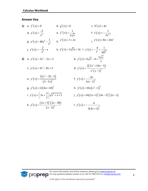#### **Answer Key**

**1)** a.  $f'(x) = 0$ b.  $g'(x) = 0$ c.  $h'(x) = 4x$ d.  $y'(x) = \frac{2}{x^3}$  $y'(x) = \frac{-2}{3}$ *x*  $f'(x) = \frac{-2}{3}$  e.  $f'(x)$ 1 2 *f x x*  $f(x) = \frac{1}{2\sqrt{x}}$  f.  $z'(x) = -\frac{1}{2x^{1.5}}$ 1 2 *z x x*  $f(x) = -\frac{1}{x}$ g.  $y'(x) = 40x^9$ 2  $y'(x) = 40x^9 - \frac{1}{x^2}$ *x*  $y'(x) = 40x^9 - \frac{1}{2}$  h.  $y'(x) = 1 + 2x$ i.  $y'(x) = 8x + 24x^2$ j.  $y'(x) = -\frac{2}{x^2}$  $y'(x) = -\frac{2}{x^2} - e$ *x*  $y'(x) = -\frac{2}{x^2} - e$  k.  $y'(x) = 2\sqrt{2x + 2e}$  l.  $y'(t) = -\frac{4}{t^2} + \frac{1}{2\sqrt[3]{t^2}}$ 4 1 3 *y t*  $t^2$   $3\sqrt[3]{t}$  $t'(t) = -\frac{4}{3} + -$ **2)** a.  $y'(x) = 3x^2 - 2x + 3$ b.  $y'(x)$  $y'(x) = 6\sqrt{x-4} + \frac{5\sqrt{x}}{x}$  $f(x) = 6\sqrt{x-4} + \frac{5\sqrt{x}}{2}$ c.  $y'(x) = 3x^2 - 8x + 5$ d.  $y'(x)$  $(2x^2+10x-5)$  $(x-1)$ <sup>'</sup> 2  $^{2}$  (x 1)<sup>2</sup>  $2(2x^2+10x-5)$ 1  $x^2 + 10x$ *y x*  $\frac{x^2}{x^2}$  $+10x-5$  $'(x) =$ − e.  $y'(x)$  $(x^2-35-5)$  $(3-2x)^{3}$ 2 2  $2(x^2-35-5)$  $\frac{1}{3-2}$  $y'(x) = \frac{2(x)}{x^2}$ *x*  $-35-5)$  $'(x) =$ − f.  $y'(x)$  $\left( ex-1\right) ^{2}$ 2 1  $y'(x) = \frac{-2e}{x^2}$ *ex*  $f(x) = \frac{-}{-}$ − g.  $y'(x) = 12(4x+10)^2$ h.  $y'(x) = 10x(x^2+1)^4$ i.  $y'(x) = \left(3x + \frac{3}{2}\right)\sqrt{x^2 + x + 1}$ j.  $y'(x) = 14(2x+1)^2(4x-5)^3(2x-1)$ k.  $y'(x)$  $(2x+3)^3 (2x-49)$  $(x-5)^{x}$ 3 4  $(2x+3)^3 (2x-49)$ 5  $(x+3)^3 (2x)$  $y'(x)$ *x*  $f(x) = \frac{(2x+3)^3 (2x-49)}{x^4}$ −  $\lfloor y'(x) \rfloor$  $(4x+1)$ 4 3 4  $3(4x+1)$ *y x x*  $f(x) = -$ +

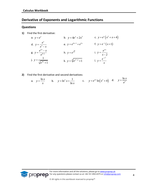# <span id="page-4-0"></span>**Derivative of Exponents and Logarithmic Functions**

#### **Questions**

**1)** Find the first derivative:

a. 
$$
y = e^x
$$
  
\nb.  $y = 4e^x + 2x^3$   
\nc.  $y = e^x(x^2 + x + 4)$   
\nd.  $y = \frac{e^x}{x^2 - x}$   
\ne.  $y = e^{4x-1} + e^{2x}$   
\nf.  $y = e^{-x}(x+1)$   
\ng.  $y = \frac{e^{2x} - x}{e^{4+x}}$   
\nh.  $y = e^{\sqrt{x}}$   
\ni.  $y = \frac{e^{\pi x}}{x-2}$   
\nj.  $y = \frac{1}{\sqrt{e^{4x} + 1}}$   
\nk.  $y = \sqrt[3]{e^{x^2+1} + 1}$   
\nl.  $y = \frac{e^{-x^2}}{x}$ 

**2)** Find the first derivative and second derivatives:

<span id="page-4-1"></span>a. 
$$
y = \frac{\ln x}{x}
$$
 b.  $y = \ln^2 x + \frac{1}{\ln x}$  c.  $y = e^{2x} \ln(x^2 + 4)$  d.  $y = \frac{\ln x}{e^x}$ 

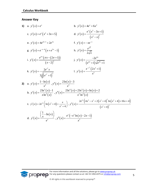#### **Answer Key**

1) a. 
$$
y'(x) = e^x
$$
  
\nb.  $y'(x) = 4e^x + 6x^2$   
\nc.  $y'(x) = e^x(x^2 + 3x + 5)$   
\nd.  $y'(x) = \frac{e^x(x^2 - 3x + 1)}{(x^2 - x)^2}$   
\ne.  $y'(x) = 4e^{4x-1} + 2e^{2x}$   
\nf.  $y'(x) = -xe^{-x}$   
\ng.  $y'(x) = e^{-x-4}(x+e^{2x}-1)$   
\nh.  $y'(x) = \frac{e^{\sqrt{x}}}{2\sqrt{x}}$   
\ni.  $y'(x) = \frac{e^{\pi x}( \pi x - (2\pi + 1))}{(x-2)^2}$   
\nj.  $y'(x) = \frac{-2e^{4x}}{(e^{4x}+1)\sqrt{e^{4x}+1}}$   
\nk.  $y'(x) = \frac{2e^{x^2}x}{3\sqrt[3]{(e^{x^2}+1)^2}}$   
\nl.  $y'(x) = \frac{e^{-x^2}(2x^2+1)}{x^2}$   
\n2) a.  $y'(x) = \frac{1-\ln(x)}{x^2}$ ,  $y''(x) = \frac{2\ln(x)-3}{x^3}$   
\nb.  $y'(x) = \frac{2\ln^2(x)-1}{x\ln^2(x)}$ ,  $y''(x) = \frac{2\ln^4(x)+2\ln^3(x)+\ln(x)+2}{x^2\ln^3(x)}$   
\nc.  $y'(x) = 2e^{2x}(\ln(x^2+4)+\frac{x}{x^2+4})$ ,  $y''(x) = \frac{2e^{2x}(4x^3-x^2+2(x^2+4)^2\ln(x^2+4)+16x+4)}{(x^2+4)^2}$   
\nd.  $y'(x) = \frac{(\frac{1}{x}-\ln(x))}{e^x}$ ,  $y''(x) = \frac{e^x(-x^2\ln(x)-2x-1)}{x^2}$ 



For more information and all the solutions, please go to [www.proprep.uk](http://www.proprep.uk/) For any questions please contact us at +44-161-850-4375 or [info@proprep.com](mailto:info@proprep.com)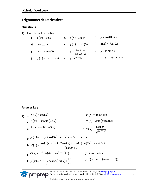# **Trigonometric Derivatives**

#### **Questions**

**1)** Find the first derivative:

a. 
$$
f(x) = \sin x
$$
  
\nb.  $g(x) = \sin 4x$   
\nc.  $y = \cos(0.5x)$   
\nd.  $y = \sin^2 x$   
\ne.  $f(x) = \cos^4(5x)$   
\nf.  $z(x) = \sqrt{\sin 2x}$   
\ng.  $y = \sin x \cos 3x$   
\nh.  $y = \frac{\sin x - 1}{\cos 2x + 2}$   
\ni.  $y = x^3 \sin 4x$   
\nj.  $y(x) = \ln(\cos(x))$   
\nk.  $y = e^{\sin 2x} \ln x$   
\nl.  $y(t) = \sin(\cos(x))$ 

#### **Answer key**

1) a. 
$$
f'(x) = \cos(x)
$$
  
\nb.  $g'(x) = 4\cos(4x)$   
\nc.  $y'(x) = -0.5\sin(0.5x)$   
\nd.  $y'(x) = 2\sin(x)\cos(x)$   
\ne.  $f'(x) = -500\sin^3(x)$   
\nf.  $f'(x) = \frac{\cos(2x)}{\sqrt{\sin(2x)}}$   
\ng.  $y'(x) = \cos(x)\cos(3x) - \sin(x)\sin(3x) - 3\sin(x)$   
\nh.  $y'(x) = \frac{\cos(x)\cos(2x) + 2\cos(x) + 2\sin(x)\sin(2x) - 2\sin(2x)}{(\cos 2x + 2)^2}$   
\ni.  $y'(x) = 3x^2 \sin(4x) + 4x^3 \cos(4x)$   
\nj.  $y'(x) = -\tan(x)$   
\nk.  $y'(x) = e^{\sin 2x} (2\cos(2x) \ln(x) + \frac{1}{x})$   
\nl.  $y'(t) = -\sin(t) \cdot \cos(\cos(t))$ 

For more information and all the solutions, please go to [www.proprep.uk](http://www.proprep.uk/) **CODICO** For any questions please contact us at +44-161-850-4375 or [info@proprep.com](mailto:info@proprep.com)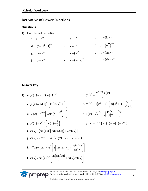# <span id="page-7-0"></span>**Derivative of Power Functions**

#### **Questions**

**1)** Find the first derivative:

a. 
$$
y = x^{2x}
$$
  
\nb.  $y = x^{\ln x}$   
\nc.  $y = (\ln x)^x$   
\nd.  $y = (x^2 + 1)^{4x}$   
\ne.  $y = x^{x^2 + 1}$   
\nf.  $y = (\sqrt{x})^{\sqrt{2x}}$   
\ng.  $y = x^{e^x}$   
\nh.  $y = (x^{x^x})$   
\ni.  $y = (\sin x)^x$   
\nj.  $y = x^{\cos 2x}$   
\nk.  $y = (\tan x)^{2x}$   
\nl.  $y = (\sin x)^{\ln x}$ 

#### <span id="page-7-1"></span>**Answer key**

1) a. 
$$
y'(x) = 2x^{2x} (\ln(x) + 1)
$$
  
\nb.  $y'(x) = \frac{2e^{\ln^2(x)} \ln(x)}{x}$   
\nc.  $y'(x) = \ln(x)^x \cdot (\ln(\ln(x)) + \frac{1}{x})$   
\nd.  $y'(x) = 4(x^2 + 1)^{4x} \cdot (\ln(x^2 + 1) + \frac{2x^2}{x^2 + 1})$   
\ne.  $y'(x) = x^{x^2+1} (2x \ln(x) + \frac{x^2 + 1}{x})$   
\nf.  $y'(x) = \sqrt{x}^{\sqrt{2x}} \cdot \frac{1}{2} (\frac{\ln(x)}{\sqrt{2x}} + \frac{\sqrt{2x}}{x})$   
\ng.  $y'(x) = x^{e^x} \cdot x (\ln(x) + \frac{1}{x})$   
\nh.  $y'(x) = x^{x^x+x} (\ln^2(x) + \ln(x) + x^{x-1})$   
\ni.  $y'(x) = (\sin(x))^x [\ln(\sin(x)) + x \cot(x)]$   
\nj.  $y'(x) = x^{\cos(2x)} [-\sin(2x)2\ln(x) + \frac{1}{x}\cos(2x)]$   
\nk.  $y'(x) = (\tan(x))^{2x} [2 (\ln(\tan(x)) + \frac{x\sin(x)}{\cos^2 x})]$   
\nl.  $y'(x) = \sin(x)^{\ln(x)} [\frac{\ln(\sin(x))}{x} + \ln(x)\cot(x)]$ 

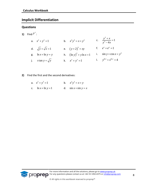# **Implicit Differentiation**

#### **Questions**

**1)** Find  $y'$  :

a. 
$$
x^2 + y^2 = 1
$$
  
\nb.  $x^2y^3 = x + y^2$   
\nc.  $\frac{y^2 + x}{y^3 - 4x} = 1$   
\nd.  $\sqrt{y} + \sqrt{x} = 1$   
\ne.  $(y+2)^3 = xy$   
\nf.  $e^x + e^y = 1$   
\ng.  $\ln x + \ln y = y$   
\nh.  $(\ln y)^2 + y \ln x = 1$   
\ni.  $\sin y + \cos x = y^2$   
\nj.  $x \tan y = \sqrt{y}$   
\nk.  $x^y + y^x = 1$   
\nl.  $y^{\ln x} + x^{\ln y} = 4$ 

- <span id="page-8-0"></span>**2)** Find the first and the second derivatives:
	- a.  $x^2 + y^3 = 1$  b.  $x^2y^3 = x + y$ c.  $\ln x + \ln y = 1$  d.  $\sin x + \sin y = x$

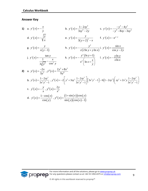#### **Answer Key**

1) a. 
$$
y'(x) = -\frac{x}{y}
$$
  
\nb.  $y'(x) = \frac{1-2xy^3}{3xy^2-2y}$   
\nc.  $y'(x) = \frac{-y^3-4y^2}{-y^4-8xy-3xy^2}$   
\nd.  $y'(x) = -\sqrt{\frac{y}{x}}$   
\ne.  $y'(x) = \frac{y}{3(y+2)^2-x}$   
\nf.  $y'(x) = -e^{x-y}$   
\ng.  $y'(x) = \frac{y}{x(y-1)}$   
\nh.  $y'(x) = -\frac{y^2}{z(2\ln y + y\ln x)}$   
\ni.  $y'(x) = \frac{\sin x}{\cos y - 2y}$   
\nj.  $y'(x) = \frac{\tan y}{3\sqrt[3]{y^2} - \frac{x}{\cos^2 y}}$   
\nk.  $y'(x) = -\frac{y^2(\ln y + 1)}{x^y(\ln x + \frac{x}{y})}$   
\nl.  $y'(x) = -\frac{y\ln y}{x\ln x}$   
\n2) a.  $y'(x) = \frac{-2x}{3y^2}, y''(x) = \frac{2y^2 + 8x^2}{9y^6}$   
\nb.  $y'(x) = \frac{1-2xy^3}{3x^2y^2-1}, y''(x) = -2\left[y^3 + 3xy^2\frac{1-2xy^3}{3x^2y^2-1}\right] \left[3x^2y^2-1\right] - 6\left(1-2xy^3\right)\left(xy^2 + 2x^2y\frac{1-2xy^2}{3x^2y^2-1}\right)$   
\nc.  $y'(x) = -\frac{y}{x}$ ,  $y''(x) = \frac{2y}{x^2}$   
\nd.  $y'(x) = \frac{1-\cos(x)}{\cos(y)}$ ,  $y''(x) = \frac{(1+\sin(x))\cos(y)}{\sin(y)(\cos(x)-1)}$ 

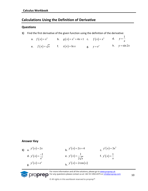# **Calculations Using the Definition of Derivative**

#### **Questions**

**1)** Find the first derivative of the given function using the definition of the derivative:

<span id="page-10-0"></span>

|                                        | a. $f(x) = x^2$ b. $g(x) = x^2 + 4x + 1$ c. $f(x) = x^3$ d. $y = \frac{1}{x}$ |                     |                  |
|----------------------------------------|-------------------------------------------------------------------------------|---------------------|------------------|
| e. $f(x) = \sqrt{x}$ f. $z(x) = \ln x$ |                                                                               | <b>g.</b> $y = e^x$ | h. $y = \sin 2x$ |

#### **Answer Key**

1) a. 
$$
y'(x) = 2x
$$
  
\nb.  $y'(x) = 2x + 4$   
\nc.  $y'(x) = 3x^2$   
\nd.  $y'(x) = \frac{-1}{x^2}$   
\ne.  $y'(x) = \frac{1}{2\sqrt{x}}$   
\nf.  $y'(x) = \frac{1}{x}$   
\ng.  $y'(x) = e^x$   
\nh.  $y'(x) = 2\cos(x)$ 

For more information and all the solutions, please go to [www.proprep.uk](http://www.proprep.uk/) **SCOPPED** For any questions please contact us at +44-161-850-4375 or [info@proprep.com](mailto:info@proprep.com)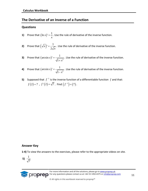# **The Derivative of an Inverse of a Function**

#### **Questions**

**1)** Prove that  $(\ln x)$  $\ln x$ )' =  $\frac{1}{x}$ *x*  $=$   $\frac{1}{2}$ . Use the rule of derivative of the inverse function.

**2)** Prove that 
$$
(\sqrt{x})' = \frac{1}{2\sqrt{x}}
$$
. Use the rule of derivative of the inverse function.

- **3)** Prove that  $(\arcsin x)' = \frac{1}{\sqrt{1+x^2}}$  $arcsin x$ <sup>'</sup> =  $\frac{1}{\sqrt{1}}$ 1 *x x* = + . Use the rule of derivative of the inverse function.
- **4)** Prove that  $(\arcsin x)' = \frac{1}{\sqrt{1-x^2}}$  $arcsin x$ <sup>'</sup> =  $\frac{1}{\sqrt{1}}$ 1 *x x* = − . Use the rule of derivative of the inverse function.
- **5)** Supposed that  $f^{-1}$  is the inverse function of a differentiable function  $f$  and that:  $f(2)=7$  ,  $f'(2)=\sqrt{7}$ . Find  $(f^{-1})=(7)$ .

#### **Answer Key**

**1-4)** To view the answers to the exercises, please refer to the appropriate videos on site.

$$
5) \frac{1}{\sqrt{7}}
$$